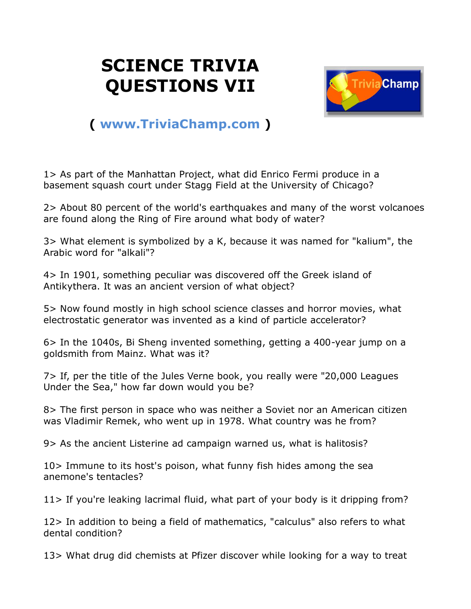## **SCIENCE TRIVIA QUESTIONS VII**



## **( [www.TriviaChamp.com](http://www.triviachamp.com/) )**

1> As part of the Manhattan Project, what did Enrico Fermi produce in a basement squash court under Stagg Field at the University of Chicago?

2> About 80 percent of the world's earthquakes and many of the worst volcanoes are found along the Ring of Fire around what body of water?

3> What element is symbolized by a K, because it was named for "kalium", the Arabic word for "alkali"?

4> In 1901, something peculiar was discovered off the Greek island of Antikythera. It was an ancient version of what object?

5> Now found mostly in high school science classes and horror movies, what electrostatic generator was invented as a kind of particle accelerator?

6> In the 1040s, Bi Sheng invented something, getting a 400-year jump on a goldsmith from Mainz. What was it?

7> If, per the title of the Jules Verne book, you really were "20,000 Leagues Under the Sea," how far down would you be?

8> The first person in space who was neither a Soviet nor an American citizen was Vladimir Remek, who went up in 1978. What country was he from?

9> As the ancient Listerine ad campaign warned us, what is halitosis?

10> Immune to its host's poison, what funny fish hides among the sea anemone's tentacles?

11> If you're leaking lacrimal fluid, what part of your body is it dripping from?

12> In addition to being a field of mathematics, "calculus" also refers to what dental condition?

13> What drug did chemists at Pfizer discover while looking for a way to treat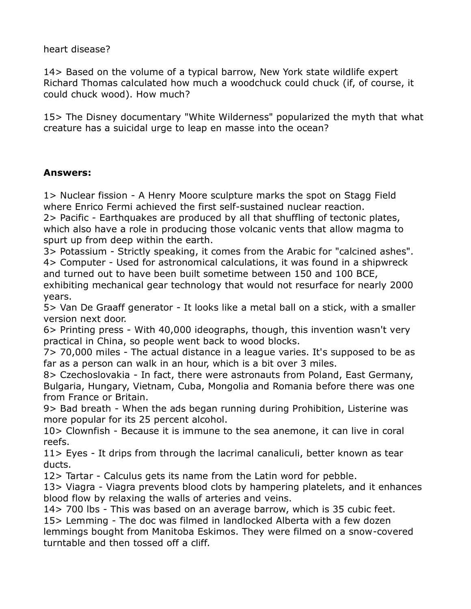heart disease?

14> Based on the volume of a typical barrow, New York state wildlife expert Richard Thomas calculated how much a woodchuck could chuck (if, of course, it could chuck wood). How much?

15> The Disney documentary "White Wilderness" popularized the myth that what creature has a suicidal urge to leap en masse into the ocean?

## **Answers:**

1> Nuclear fission - A Henry Moore sculpture marks the spot on Stagg Field where Enrico Fermi achieved the first self-sustained nuclear reaction.

2> Pacific - Earthquakes are produced by all that shuffling of tectonic plates, which also have a role in producing those volcanic vents that allow magma to spurt up from deep within the earth.

3> Potassium - Strictly speaking, it comes from the Arabic for "calcined ashes". 4> Computer - Used for astronomical calculations, it was found in a shipwreck and turned out to have been built sometime between 150 and 100 BCE,

exhibiting mechanical gear technology that would not resurface for nearly 2000 years.

5> Van De Graaff generator - It looks like a metal ball on a stick, with a smaller version next door.

6> Printing press - With 40,000 ideographs, though, this invention wasn't very practical in China, so people went back to wood blocks.

7> 70,000 miles - The actual distance in a league varies. It's supposed to be as far as a person can walk in an hour, which is a bit over 3 miles.

8> Czechoslovakia - In fact, there were astronauts from Poland, East Germany, Bulgaria, Hungary, Vietnam, Cuba, Mongolia and Romania before there was one from France or Britain.

9> Bad breath - When the ads began running during Prohibition, Listerine was more popular for its 25 percent alcohol.

10> Clownfish - Because it is immune to the sea anemone, it can live in coral reefs.

11> Eyes - It drips from through the lacrimal canaliculi, better known as tear ducts.

12> Tartar - Calculus gets its name from the Latin word for pebble.

13> Viagra - Viagra prevents blood clots by hampering platelets, and it enhances blood flow by relaxing the walls of arteries and veins.

14> 700 lbs - This was based on an average barrow, which is 35 cubic feet. 15> Lemming - The doc was filmed in landlocked Alberta with a few dozen lemmings bought from Manitoba Eskimos. They were filmed on a snow-covered turntable and then tossed off a cliff.